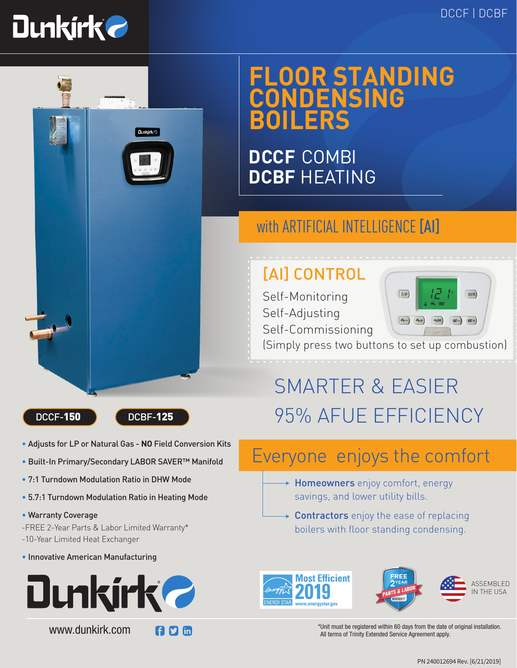$\overline{O/R}$ 



## **FLOOR STANDING CONDENSING BOILERS**

**DCCF** COMBI **DCBF** HEATING

### with ARTIFICIAL INTELLIGENCE [AI]

## [AI] CONTROL

Self-Monitoring Self-Adjusting Self-Commissioning



 $(i/P)$ 

(Simply press two buttons to set up combustion)



**Dunkirk<sub>e</sub>** 

- Adjusts for LP or Natural Gas **NO** Field Conversion Kits
- Built-In Primary/Secondary LABOR SAVER™ Manifold
- 7:1 Turndown Modulation Ratio in DHW Mode
- 5.7:1 Turndown Modulation Ratio in Heating Mode
- Warranty Coverage

-FREE 2-Year Parts & Labor Limited Warranty\* -10-Year Limited Heat Exchanger

• Innovative American Manufacturing



www.dunkirk.com



# SMARTER & EASIER DCCF-150 DCBF-125 95% AFUE EFFICIENCY

### Everyone enjoys the comfort

- → **Homeowners** enjoy comfort, energy savings, and lower utility bills.
- **Contractors** enjoy the ease of replacing boilers with floor standing condensing.





ASSEMBLED IN THE USA

\*Unit must be registered within 60 days from the date of original installation. All terms of Trinity Extended Service Agreement apply.